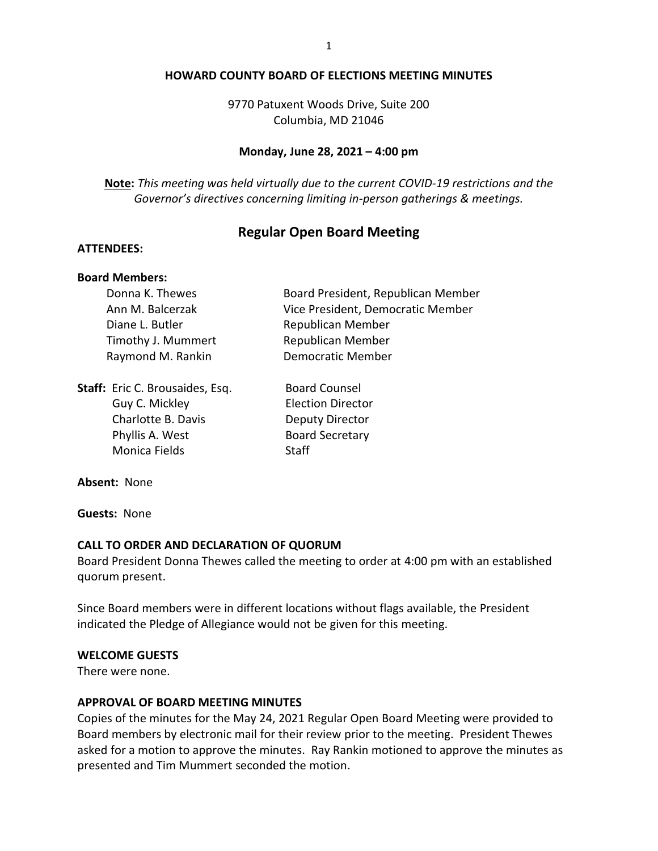#### **HOWARD COUNTY BOARD OF ELECTIONS MEETING MINUTES**

9770 Patuxent Woods Drive, Suite 200 Columbia, MD 21046

#### **Monday, June 28, 2021 – 4:00 pm**

**Note:** *This meeting was held virtually due to the current COVID-19 restrictions and the Governor's directives concerning limiting in-person gatherings & meetings.*

### **Regular Open Board Meeting**

#### **ATTENDEES:**

#### **Board Members:**

| Donna K. Thewes    | Board President, Republican Member |
|--------------------|------------------------------------|
| Ann M. Balcerzak   | Vice President, Democratic Member  |
| Diane L. Butler    | Republican Member                  |
| Timothy J. Mummert | <b>Republican Member</b>           |
| Raymond M. Rankin  | <b>Democratic Member</b>           |
|                    |                                    |

**Staff:** Eric C. Brousaides, Esq. Board Counsel Guy C. Mickley **Election Director** Charlotte B. Davis **Deputy Director** Phyllis A. West Board Secretary Monica Fields Staff

**Absent:** None

**Guests:** None

#### **CALL TO ORDER AND DECLARATION OF QUORUM**

Board President Donna Thewes called the meeting to order at 4:00 pm with an established quorum present.

Since Board members were in different locations without flags available, the President indicated the Pledge of Allegiance would not be given for this meeting.

#### **WELCOME GUESTS**

There were none.

#### **APPROVAL OF BOARD MEETING MINUTES**

Copies of the minutes for the May 24, 2021 Regular Open Board Meeting were provided to Board members by electronic mail for their review prior to the meeting. President Thewes asked for a motion to approve the minutes. Ray Rankin motioned to approve the minutes as presented and Tim Mummert seconded the motion.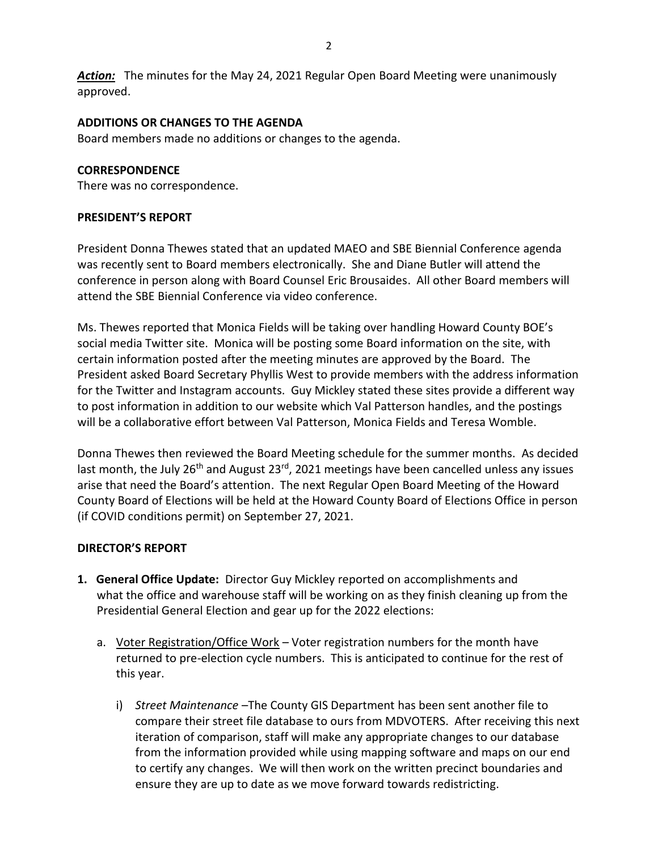*Action:* The minutes for the May 24, 2021 Regular Open Board Meeting were unanimously approved.

### **ADDITIONS OR CHANGES TO THE AGENDA**

Board members made no additions or changes to the agenda.

### **CORRESPONDENCE**

There was no correspondence.

### **PRESIDENT'S REPORT**

President Donna Thewes stated that an updated MAEO and SBE Biennial Conference agenda was recently sent to Board members electronically. She and Diane Butler will attend the conference in person along with Board Counsel Eric Brousaides. All other Board members will attend the SBE Biennial Conference via video conference.

Ms. Thewes reported that Monica Fields will be taking over handling Howard County BOE's social media Twitter site. Monica will be posting some Board information on the site, with certain information posted after the meeting minutes are approved by the Board. The President asked Board Secretary Phyllis West to provide members with the address information for the Twitter and Instagram accounts. Guy Mickley stated these sites provide a different way to post information in addition to our website which Val Patterson handles, and the postings will be a collaborative effort between Val Patterson, Monica Fields and Teresa Womble.

Donna Thewes then reviewed the Board Meeting schedule for the summer months. As decided last month, the July  $26<sup>th</sup>$  and August  $23<sup>rd</sup>$ , 2021 meetings have been cancelled unless any issues arise that need the Board's attention. The next Regular Open Board Meeting of the Howard County Board of Elections will be held at the Howard County Board of Elections Office in person (if COVID conditions permit) on September 27, 2021.

# **DIRECTOR'S REPORT**

- **1. General Office Update:** Director Guy Mickley reported on accomplishments and what the office and warehouse staff will be working on as they finish cleaning up from the Presidential General Election and gear up for the 2022 elections:
	- a. Voter Registration/Office Work Voter registration numbers for the month have returned to pre-election cycle numbers. This is anticipated to continue for the rest of this year.
		- i) *Street Maintenance* –The County GIS Department has been sent another file to compare their street file database to ours from MDVOTERS. After receiving this next iteration of comparison, staff will make any appropriate changes to our database from the information provided while using mapping software and maps on our end to certify any changes. We will then work on the written precinct boundaries and ensure they are up to date as we move forward towards redistricting.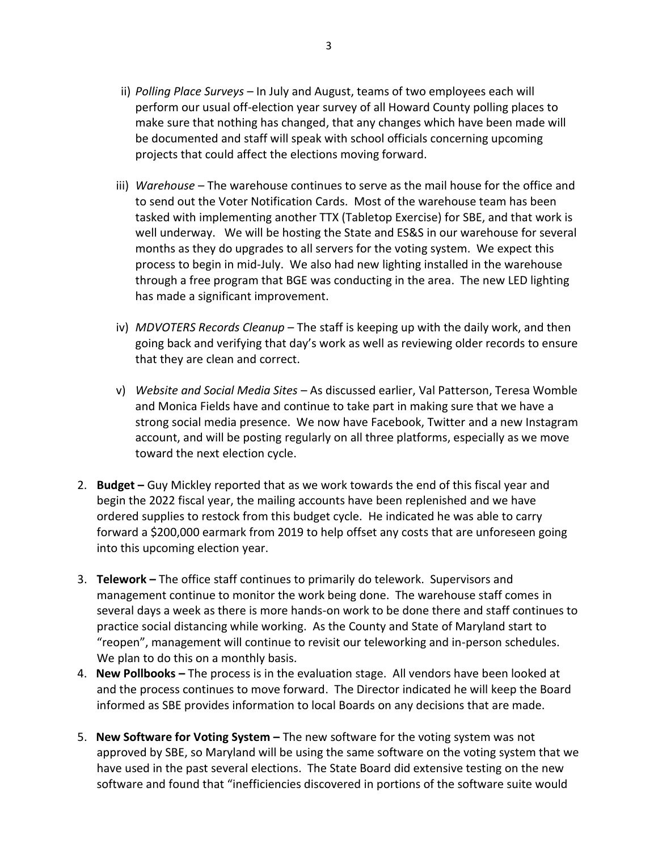- ii) *Polling Place Surveys*  In July and August, teams of two employees each will perform our usual off-election year survey of all Howard County polling places to make sure that nothing has changed, that any changes which have been made will be documented and staff will speak with school officials concerning upcoming projects that could affect the elections moving forward.
- iii) *Warehouse* The warehouse continues to serve as the mail house for the office and to send out the Voter Notification Cards. Most of the warehouse team has been tasked with implementing another TTX (Tabletop Exercise) for SBE, and that work is well underway. We will be hosting the State and ES&S in our warehouse for several months as they do upgrades to all servers for the voting system. We expect this process to begin in mid-July. We also had new lighting installed in the warehouse through a free program that BGE was conducting in the area. The new LED lighting has made a significant improvement.
- iv) *MDVOTERS Records Cleanup* The staff is keeping up with the daily work, and then going back and verifying that day's work as well as reviewing older records to ensure that they are clean and correct.
- v) *Website and Social Media Sites* As discussed earlier, Val Patterson, Teresa Womble and Monica Fields have and continue to take part in making sure that we have a strong social media presence. We now have Facebook, Twitter and a new Instagram account, and will be posting regularly on all three platforms, especially as we move toward the next election cycle.
- 2. **Budget –** Guy Mickley reported that as we work towards the end of this fiscal year and begin the 2022 fiscal year, the mailing accounts have been replenished and we have ordered supplies to restock from this budget cycle. He indicated he was able to carry forward a \$200,000 earmark from 2019 to help offset any costs that are unforeseen going into this upcoming election year.
- 3. **Telework –** The office staff continues to primarily do telework. Supervisors and management continue to monitor the work being done. The warehouse staff comes in several days a week as there is more hands-on work to be done there and staff continues to practice social distancing while working. As the County and State of Maryland start to "reopen", management will continue to revisit our teleworking and in-person schedules. We plan to do this on a monthly basis.
- 4. **New Pollbooks –** The process is in the evaluation stage. All vendors have been looked at and the process continues to move forward. The Director indicated he will keep the Board informed as SBE provides information to local Boards on any decisions that are made.
- 5. **New Software for Voting System –** The new software for the voting system was not approved by SBE, so Maryland will be using the same software on the voting system that we have used in the past several elections. The State Board did extensive testing on the new software and found that "inefficiencies discovered in portions of the software suite would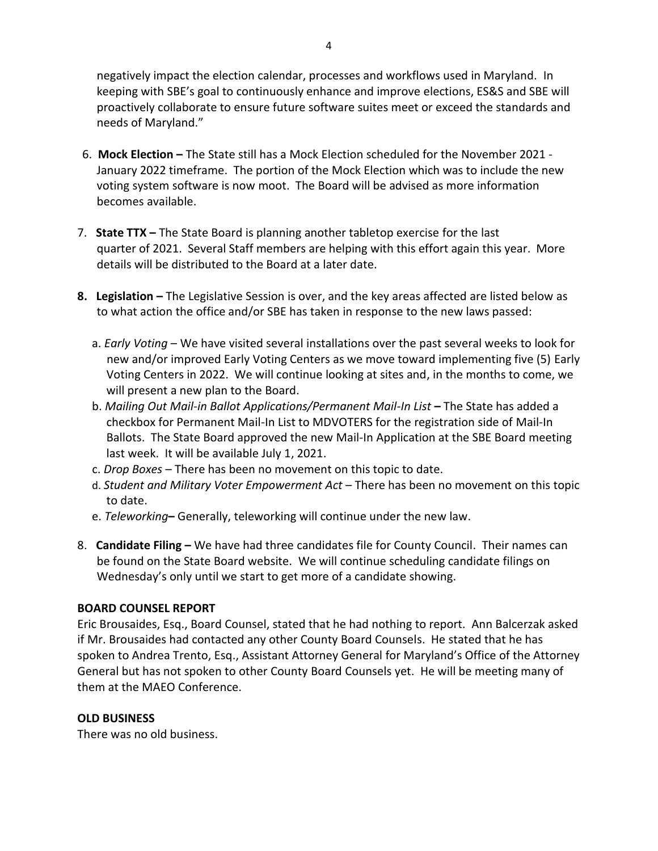negatively impact the election calendar, processes and workflows used in Maryland. In keeping with SBE's goal to continuously enhance and improve elections, ES&S and SBE will proactively collaborate to ensure future software suites meet or exceed the standards and needs of Maryland."

- 6. **Mock Election –** The State still has a Mock Election scheduled for the November 2021 January 2022 timeframe. The portion of the Mock Election which was to include the new voting system software is now moot. The Board will be advised as more information becomes available.
- 7. **State TTX –** The State Board is planning another tabletop exercise for the last quarter of 2021. Several Staff members are helping with this effort again this year. More details will be distributed to the Board at a later date.
- **8. Legislation –** The Legislative Session is over, and the key areas affected are listed below as to what action the office and/or SBE has taken in response to the new laws passed:
	- a. *Early Voting* We have visited several installations over the past several weeks to look for new and/or improved Early Voting Centers as we move toward implementing five (5) Early Voting Centers in 2022. We will continue looking at sites and, in the months to come, we will present a new plan to the Board.
	- b. *Mailing Out Mail-in Ballot Applications/Permanent Mail-In List* **–** The State has added a checkbox for Permanent Mail-In List to MDVOTERS for the registration side of Mail-In Ballots. The State Board approved the new Mail-In Application at the SBE Board meeting last week. It will be available July 1, 2021.
	- c. *Drop Boxes* There has been no movement on this topic to date.
	- d. *Student and Military Voter Empowerment Act* There has been no movement on this topic to date.
	- e. *Teleworking***–** Generally, teleworking will continue under the new law.
- 8. **Candidate Filing –** We have had three candidates file for County Council. Their names can be found on the State Board website. We will continue scheduling candidate filings on Wednesday's only until we start to get more of a candidate showing.

# **BOARD COUNSEL REPORT**

Eric Brousaides, Esq., Board Counsel, stated that he had nothing to report. Ann Balcerzak asked if Mr. Brousaides had contacted any other County Board Counsels. He stated that he has spoken to Andrea Trento, Esq., Assistant Attorney General for Maryland's Office of the Attorney General but has not spoken to other County Board Counsels yet. He will be meeting many of them at the MAEO Conference.

# **OLD BUSINESS**

There was no old business.